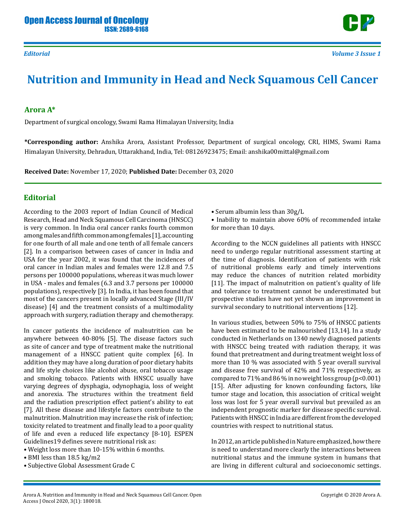

## **Nutrition and Immunity in Head and Neck Squamous Cell Cancer**

## **Arora A\***

Department of surgical oncology, Swami Rama Himalayan University, India

**\*Corresponding author:** Anshika Arora, Assistant Professor, Department of surgical oncology, CRI, HIMS, Swami Rama Himalayan University, Dehradun, Uttarakhand, India, Tel: 08126923475; Email: anshika00mittal@gmail.com

**Received Date:** November 17, 2020; **Published Date:** December 03, 2020

## **Editorial**

According to the 2003 report of Indian Council of Medical Research, Head and Neck Squamous Cell Carcinoma (HNSCC) is very common. In India oral cancer ranks fourth common among males and fifth common among females [1], accounting for one fourth of all male and one tenth of all female cancers [2]. In a comparison between cases of cancer in India and USA for the year 2002, it was found that the incidences of oral cancer in Indian males and females were 12.8 and 7.5 persons per 100000 populations, whereas it was much lower in USA - males and females (6.3 and 3.7 persons per 100000 populations), respectively [3]. In India, it has been found that most of the cancers present in locally advanced Stage (III/IV disease) [4] and the treatment consists of a multimodality approach with surgery, radiation therapy and chemotherapy.

In cancer patients the incidence of malnutrition can be anywhere between 40-80% [5]. The disease factors such as site of cancer and type of treatment make the nutritional management of a HNSCC patient quite complex [6]. In addition they may have a long duration of poor dietary habits and life style choices like alcohol abuse, oral tobacco usage and smoking tobacco. Patients with HNSCC usually have varying degrees of dysphagia, odynophagia, loss of weight and anorexia. The structures within the treatment field and the radiation prescription effect patient's ability to eat [7]. All these disease and lifestyle factors contribute to the malnutrition. Malnutrition may increase the risk of infection; toxicity related to treatment and finally lead to a poor quality of life and even a reduced life expectancy [8-10]. ESPEN Guidelines19 defines severe nutritional risk as:

- Weight loss more than 10-15% within 6 months.
- BMI less than 18.5 kg/m2
- Subjective Global Assessment Grade C

• Serum albumin less than 30g/L

• Inability to maintain above 60% of recommended intake for more than 10 days.

According to the NCCN guidelines all patients with HNSCC need to undergo regular nutritional assessment starting at the time of diagnosis. Identification of patients with risk of nutritional problems early and timely interventions may reduce the chances of nutrition related morbidity [11]. The impact of malnutrition on patient's quality of life and tolerance to treatment cannot be underestimated but prospective studies have not yet shown an improvement in survival secondary to nutritional interventions [12].

In various studies, between 50% to 75% of HNSCC patients have been estimated to be malnourished [13,14]. In a study conducted in Netherlands on 1340 newly diagnosed patients with HNSCC being treated with radiation therapy, it was found that pretreatment and during treatment weight loss of more than 10 % was associated with 5 year overall survival and disease free survival of 42% and 71% respectively, as compared to 71% and 86 % in no weight loss group (p<0.001) [15]. After adjusting for known confounding factors, like tumor stage and location, this association of critical weight loss was lost for 5 year overall survival but prevailed as an independent prognostic marker for disease specific survival. Patients with HNSCC in India are different from the developed countries with respect to nutritional status.

In 2012, an article published in Nature emphasized, how there is need to understand more clearly the interactions between nutritional status and the immune system in humans that are living in different cultural and socioeconomic settings.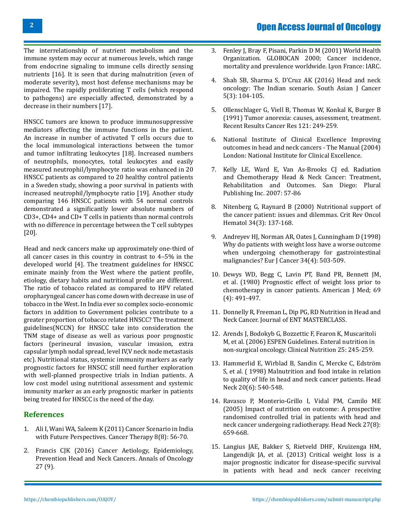The interrelationship of nutrient metabolism and the immune system may occur at numerous levels, which range from endocrine signaling to immune cells directly sensing nutrients [16]. It is seen that during malnutrition (even of moderate severity), most host defense mechanisms may be impaired. The rapidly proliferating T cells (which respond to pathogens) are especially affected, demonstrated by a decrease in their numbers [17].

HNSCC tumors are known to produce immunosuppressive mediators affecting the immune functions in the patient. An increase in number of activated T cells occurs due to the local immunological interactions between the tumor and tumor infiltrating leukocytes [18]. Increased numbers of neutrophils, monocytes, total leukocytes and easily measured neutrophil/lymphocyte ratio was enhanced in 20 HNSCC patients as compared to 20 healthy control patients in a Sweden study, showing a poor survival in patients with increased neutrophil/lymphocyte ratio [19]. Another study comparing 146 HNSCC patients with 54 normal controls demonstrated a significantly lower absolute numbers of CD3+, CD4+ and CD+ T cells in patients than normal controls with no difference in percentage between the T cell subtypes [20].

Head and neck cancers make up approximately one-third of all cancer cases in this country in contrast to 4–5% in the developed world [4]. The treatment guidelines for HNSCC eminate mainly from the West where the patient profile, etiology, dietary habits and nutritional profile are different. The ratio of tobacco related as compared to HPV related oropharyngeal cancer has come down with decrease in use of tobacco in the West. In India ever so complex socio-economic factors in addition to Government policies contribute to a greater proportion of tobacco related HNSCC? The treatment guidelines(NCCN) for HNSCC take into consideration the TNM stage of disease as well as various poor prognostic factors (perineural invasion, vascular invasion, extra capsular lymph nodal spread, level IV,V neck node metastasis etc). Nutritional status, systemic immunity markers as early prognostic factors for HNSCC still need further exploration with well-planned prospective trials in Indian patients. A low cost model using nutritional assessment and systemic immunity marker as an early prognostic marker in patients being treated for HNSCC is the need of the day.

## **References**

- 1. Ali I, Wani WA, Saleem K (2011) Cancer Scenario in India with Future Perspectives. Cancer Therapy 8(8): 56-70.
- 2. Francis CJK (2016) Cancer Aetiology, Epidemiology, Prevention Head and Neck Cancers. Annals of Oncology 27 (9).
- 3. [Fenley J, Bray F, Pisani, Parkin D M \(2001\) World Health](https://www.who.int/cancer/resources/iarc/en/)  [Organization. GLOBOCAN 2000; Cancer incidence,](https://www.who.int/cancer/resources/iarc/en/) [mortality and prevalence worldwide. Lyon France: IARC.](https://www.who.int/cancer/resources/iarc/en/)
- 4. Shah SB, Sharma S, [D'Cruz AK \(2016\) Head and neck](https://go.gale.com/ps/anonymous?id=GALE%7CA460163875&sid=googleScholar&v=2.1&it=r&linkaccess=abs&issn=2278330X&p=AONE&sw=w) [oncology: The Indian scenario. South Asian J Cancer](https://go.gale.com/ps/anonymous?id=GALE%7CA460163875&sid=googleScholar&v=2.1&it=r&linkaccess=abs&issn=2278330X&p=AONE&sw=w) [5\(3\): 104-105.](https://go.gale.com/ps/anonymous?id=GALE%7CA460163875&sid=googleScholar&v=2.1&it=r&linkaccess=abs&issn=2278330X&p=AONE&sw=w)
- 5. [Ollenschlager G, Viell B, Thomas W, Konkal K, Burger B](https://pubmed.ncbi.nlm.nih.gov/1857862/)  [\(1991\) Tumor anorexia: causes, assessment, treatment.](https://pubmed.ncbi.nlm.nih.gov/1857862/)  [Recent Results Cancer Res 121: 249-259.](https://pubmed.ncbi.nlm.nih.gov/1857862/)
- 6. [National Institute of Clinical Excellence Improving](https://www.nice.org.uk/guidance/csg6)  [outcomes in head and neck cancers - The Manual \(2004\)](https://www.nice.org.uk/guidance/csg6) [London: National Institute for Clinical Excellence.](https://www.nice.org.uk/guidance/csg6)
- 7. Kelly LE, Ward E, Van As-Brooks CJ ed. Radiation and Chemotherapy Head & Neck Cancer: Treatment, Rehabilitation and Outcomes. San Diego: Plural Publishing Inc. 2007: 57-86
- 8. [Nitenberg G, Raynard B \(2000\) Nutritional support of](https://pubmed.ncbi.nlm.nih.gov/10838261/) [the cancer patient: issues and dilemmas. Crit Rev Oncol](https://pubmed.ncbi.nlm.nih.gov/10838261/)  [Hematol 34\(3\): 137-168.](https://pubmed.ncbi.nlm.nih.gov/10838261/)
- 9. [Andreyev HJ, Norman AR, Oates J, Cunningham D \(1998\)](https://pubmed.ncbi.nlm.nih.gov/9713300/) [Why do patients with weight loss have a worse outcome](https://pubmed.ncbi.nlm.nih.gov/9713300/) [when undergoing chemotherapy for gastrointestinal](https://pubmed.ncbi.nlm.nih.gov/9713300/)  [malignancies? Eur J Cancer 34\(4\): 503-509.](https://pubmed.ncbi.nlm.nih.gov/9713300/)
- 10. [Dewys WD, Begg C, Lavin PT, Band PR, Bennett JM,](https://pubmed.ncbi.nlm.nih.gov/7424938/) [et al. \(1980\) Prognostic effect of weight loss prior to](https://pubmed.ncbi.nlm.nih.gov/7424938/)  [chemotherapy in cancer patients. American J Med; 69](https://pubmed.ncbi.nlm.nih.gov/7424938/) [\(4\): 491-497.](https://pubmed.ncbi.nlm.nih.gov/7424938/)
- 11. [Donnelly R, Freeman L, Dip PG, RD Nutrition in Head and](https://www.entmasterclass.com/ENT_Interactive_2010_LRez.pdf)  [Neck Cancer. Journal of ENT MASTERCLASS.](https://www.entmasterclass.com/ENT_Interactive_2010_LRez.pdf)
- 12. [Arends J, Bodokyb G, Bozzettic F, Fearon K, Muscaritoli](http://espen.info/documents/ENOncology.pdf)  [M, et al. \(2006\) ESPEN Guidelines. Enteral nutrition in](http://espen.info/documents/ENOncology.pdf)  [non-surgical oncology. Clinical Nutrition 25: 245-259.](http://espen.info/documents/ENOncology.pdf)
- 13. [Hammerlid E, Wirblad B, Sandin C, Mercke C, Edström](https://pubmed.ncbi.nlm.nih.gov/9702542/)  [S, et al. \( 1998\) Malnutrition and food intake in relation](https://pubmed.ncbi.nlm.nih.gov/9702542/)  [to quality of life in head and neck cancer patients. Head](https://pubmed.ncbi.nlm.nih.gov/9702542/) [Neck 20\(6\): 540-548.](https://pubmed.ncbi.nlm.nih.gov/9702542/)
- 14. [Ravasco P, Monterio-Grillo I, Vidal PM, Camilo ME](https://pubmed.ncbi.nlm.nih.gov/15920748/)  [\(2005\) Impact of nutrition on outcome: A prospective](https://pubmed.ncbi.nlm.nih.gov/15920748/)  [randomised controlled trial in patients with head and](https://pubmed.ncbi.nlm.nih.gov/15920748/)  [neck cancer undergoing radiotherapy. Head Neck 27\(8\):](https://pubmed.ncbi.nlm.nih.gov/15920748/) [659-668.](https://pubmed.ncbi.nlm.nih.gov/15920748/)
- 15. [Langius JAE, Bakker S, Rietveld DHF](https://pubmed.ncbi.nlm.nih.gov/23928661/), Kruizenga HM, [Langendijk JA, et al. \(2013\) Critical weight loss is a](https://pubmed.ncbi.nlm.nih.gov/23928661/)  [major prognostic indicator for disease-specific survival](https://pubmed.ncbi.nlm.nih.gov/23928661/)  [in patients with head and neck cancer receiving](https://pubmed.ncbi.nlm.nih.gov/23928661/)